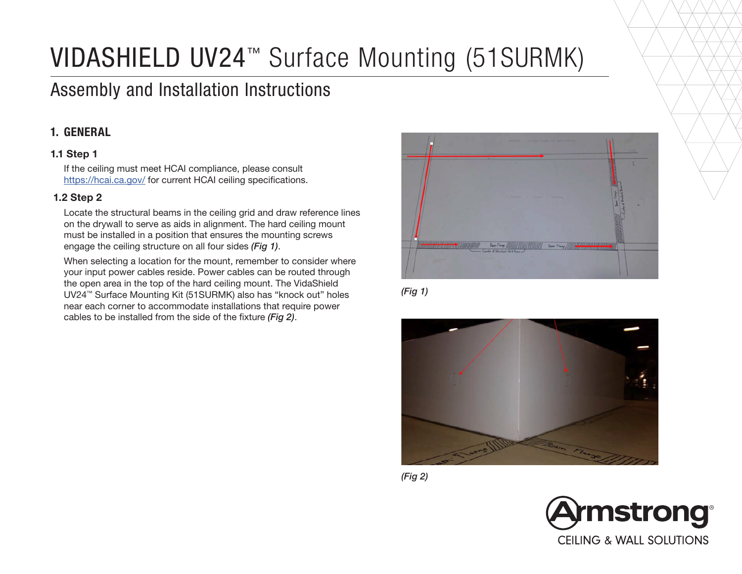# VIDASHIELD UV24™ Surface Mounting (51SURMK)

# Assembly and Installation Instructions

# 1. GENERAL

## 1.1 Step 1

If the ceiling must meet HCAI compliance, please consult https://hcai.ca.gov/ for current HCAI ceiling specifications.

#### 1.2 Step 2

Locate the structural beams in the ceiling grid and draw reference lines on the drywall to serve as aids in alignment. The hard ceiling mount must be installed in a position that ensures the mounting screws engage the ceiling structure on all four sides *(Fig 1)*.

When selecting a location for the mount, remember to consider where your input power cables reside. Power cables can be routed through the open area in the top of the hard ceiling mount. The VidaShield UV24™ Surface Mounting Kit (51SURMK) also has "knock out" holes near each corner to accommodate installations that require power cables to be installed from the side of the fixture *(Fig 2)*.



*(Fig 1)*



*(Fig 2)*

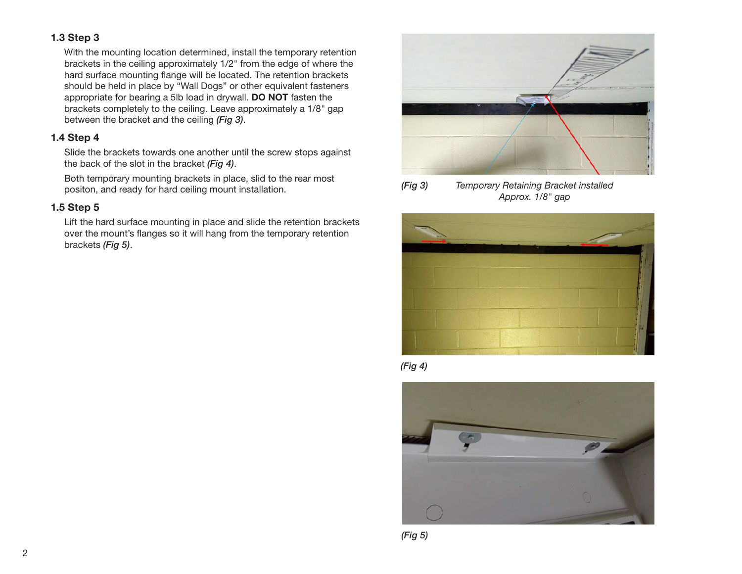### 1.3 Step 3

With the mounting location determined, install the temporary retention brackets in the ceiling approximately 1/2" from the edge of where the hard surface mounting flange will be located. The retention brackets should be held in place by "Wall Dogs" or other equivalent fasteners appropriate for bearing a 5lb load in drywall. DO NOT fasten the brackets completely to the ceiling. Leave approximately a 1/8*"* gap between the bracket and the ceiling *(Fig 3)*.

#### 1.4 Step 4

Slide the brackets towards one another until the screw stops against the back of the slot in the bracket *(Fig 4)*.

Both temporary mounting brackets in place, slid to the rear most positon, and ready for hard ceiling mount installation.

#### 1.5 Step 5

Lift the hard surface mounting in place and slide the retention brackets over the mount's flanges so it will hang from the temporary retention brackets *(Fig 5)*.











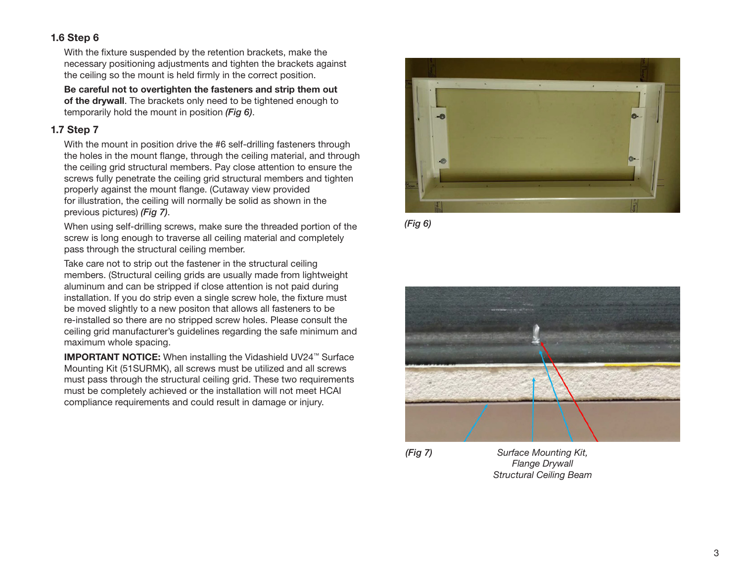#### 1.6 Step 6

With the fixture suspended by the retention brackets, make the necessary positioning adjustments and tighten the brackets against the ceiling so the mount is held firmly in the correct position.

Be careful not to overtighten the fasteners and strip them out of the drywall. The brackets only need to be tightened enough to temporarily hold the mount in position *(Fig 6)*.

#### 1.7 Step 7

With the mount in position drive the #6 self-drilling fasteners through the holes in the mount flange, through the ceiling material, and through the ceiling grid structural members. Pay close attention to ensure the screws fully penetrate the ceiling grid structural members and tighten properly against the mount flange. (Cutaway view provided for illustration, the ceiling will normally be solid as shown in the previous pictures) *(Fig 7)*.

When using self-drilling screws, make sure the threaded portion of the screw is long enough to traverse all ceiling material and completely pass through the structural ceiling member.

Take care not to strip out the fastener in the structural ceiling members. (Structural ceiling grids are usually made from lightweight aluminum and can be stripped if close attention is not paid during installation. If you do strip even a single screw hole, the fixture must be moved slightly to a new positon that allows all fasteners to be re-installed so there are no stripped screw holes. Please consult the ceiling grid manufacturer's guidelines regarding the safe minimum and maximum whole spacing.

IMPORTANT NOTICE: When installing the Vidashield UV24™ Surface Mounting Kit (51SURMK), all screws must be utilized and all screws must pass through the structural ceiling grid. These two requirements must be completely achieved or the installation will not meet HCAI compliance requirements and could result in damage or injury.









*Surface Mounting Kit, Flange Drywall Structural Ceiling Beam*